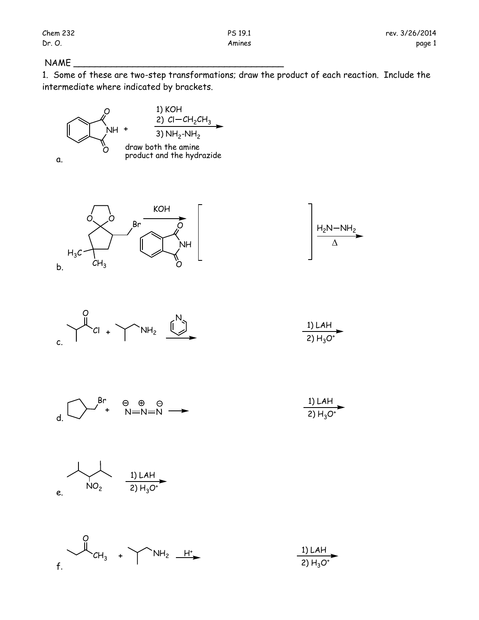## $NAME$

1. Some of these are two-step transformations; draw the product of each reaction. Include the intermediate where indicated by brackets.









| 1) LAH      |  |
|-------------|--|
| 2) $H_3O^+$ |  |







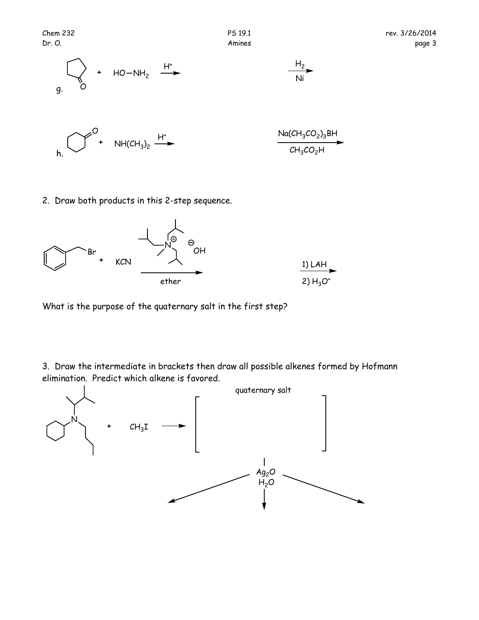

2. Draw both products in this 2-step sequence.



What is the purpose of the quaternary salt in the first step?

3. Draw the intermediate in brackets then draw all possible alkenes formed by Hofmann elimination. Predict which alkene is favored.

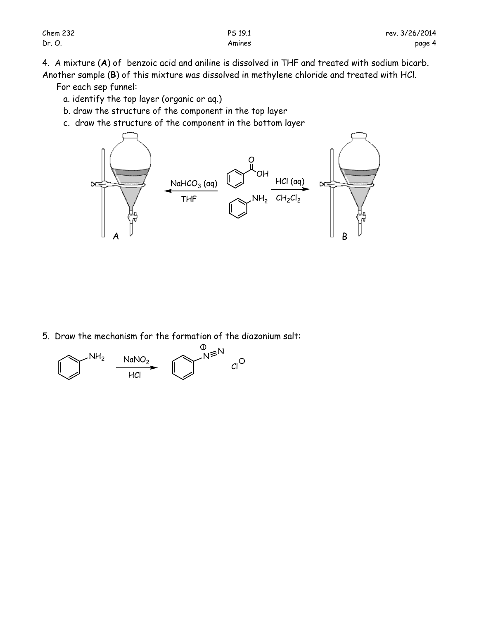4. A mixture (**A**) of benzoic acid and aniline is dissolved in THF and treated with sodium bicarb.

Another sample (**B**) of this mixture was dissolved in methylene chloride and treated with HCl. For each sep funnel:

- a. identify the top layer (organic or aq.)
- b. draw the structure of the component in the top layer
- c. draw the structure of the component in the bottom layer



5. Draw the mechanism for the formation of the diazonium salt: